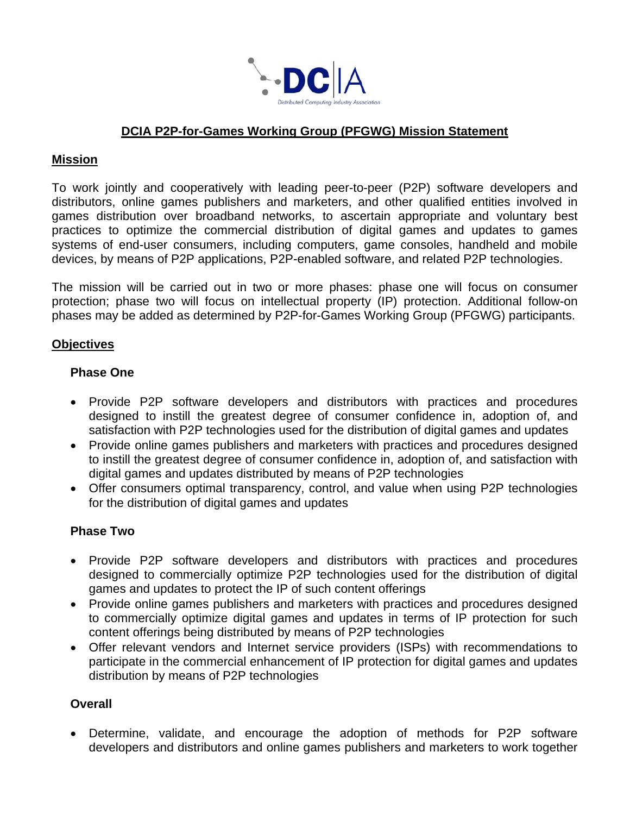

# **DCIA P2P-for-Games Working Group (PFGWG) Mission Statement**

## **Mission**

To work jointly and cooperatively with leading peer-to-peer (P2P) software developers and distributors, online games publishers and marketers, and other qualified entities involved in games distribution over broadband networks, to ascertain appropriate and voluntary best practices to optimize the commercial distribution of digital games and updates to games systems of end-user consumers, including computers, game consoles, handheld and mobile devices, by means of P2P applications, P2P-enabled software, and related P2P technologies.

The mission will be carried out in two or more phases: phase one will focus on consumer protection; phase two will focus on intellectual property (IP) protection. Additional follow-on phases may be added as determined by P2P-for-Games Working Group (PFGWG) participants.

## **Objectives**

## **Phase One**

- Provide P2P software developers and distributors with practices and procedures designed to instill the greatest degree of consumer confidence in, adoption of, and satisfaction with P2P technologies used for the distribution of digital games and updates
- Provide online games publishers and marketers with practices and procedures designed to instill the greatest degree of consumer confidence in, adoption of, and satisfaction with digital games and updates distributed by means of P2P technologies
- Offer consumers optimal transparency, control, and value when using P2P technologies for the distribution of digital games and updates

#### **Phase Two**

- Provide P2P software developers and distributors with practices and procedures designed to commercially optimize P2P technologies used for the distribution of digital games and updates to protect the IP of such content offerings
- Provide online games publishers and marketers with practices and procedures designed to commercially optimize digital games and updates in terms of IP protection for such content offerings being distributed by means of P2P technologies
- Offer relevant vendors and Internet service providers (ISPs) with recommendations to participate in the commercial enhancement of IP protection for digital games and updates distribution by means of P2P technologies

#### **Overall**

 Determine, validate, and encourage the adoption of methods for P2P software developers and distributors and online games publishers and marketers to work together